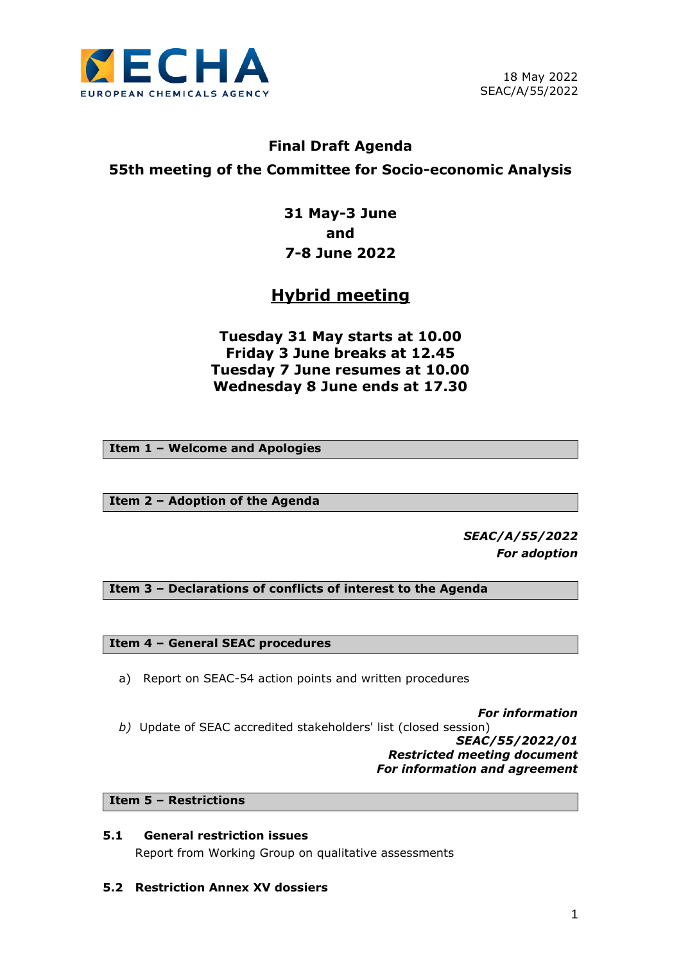

# **Final Draft Agenda 55th meeting of the Committee for Socio-economic Analysis**

**31 May-3 June and 7-8 June 2022**

# **Hybrid meeting**

**Tuesday 31 May starts at 10.00 Friday 3 June breaks at 12.45 Tuesday 7 June resumes at 10.00 Wednesday 8 June ends at 17.30**

**Item 1 – Welcome and Apologies**

**Item 2 – Adoption of the Agenda**

*SEAC/A/55/2022 For adoption*

**Item 3 – Declarations of conflicts of interest to the Agenda**

**Item 4 – General SEAC procedures**

- a) Report on SEAC-54 action points and written procedures
- *For information b)* Update of SEAC accredited stakeholders' list (closed session) *SEAC/55/2022/01 Restricted meeting document For information and agreement*

**Item 5 – Restrictions**

# **5.1 General restriction issues** Report from Working Group on qualitative assessments

**5.2 Restriction Annex XV dossiers**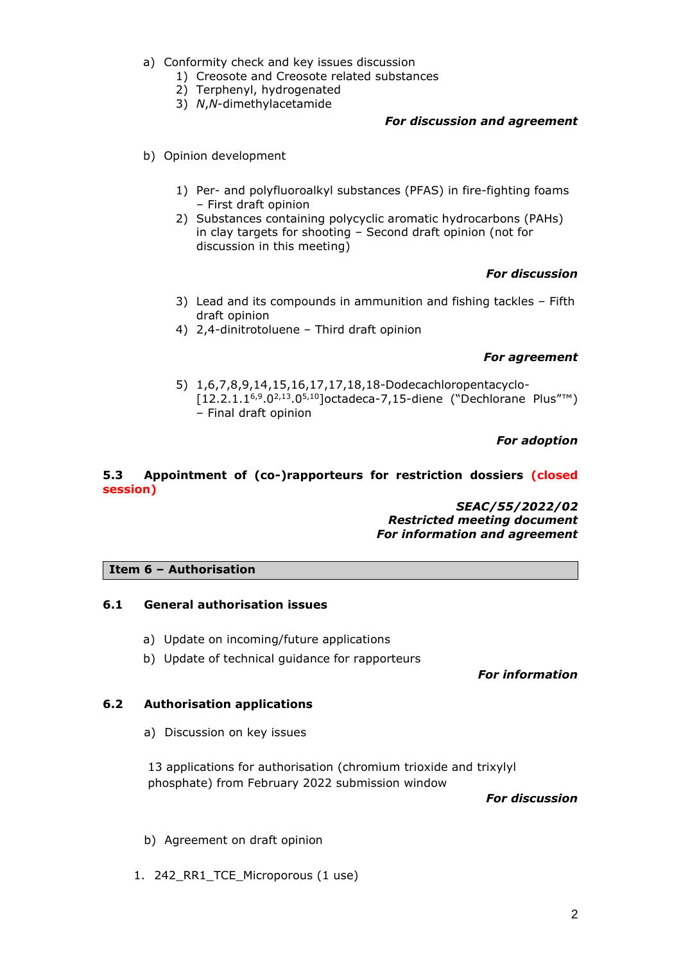- a) Conformity check and key issues discussion
	- 1) Creosote and Creosote related substances
	- 2) Terphenyl, hydrogenated
	- 3) *N*,*N*-dimethylacetamide

## *For discussion and agreement*

- b) Opinion development
	- 1) Per- and polyfluoroalkyl substances (PFAS) in fire-fighting foams – First draft opinion
	- 2) Substances containing polycyclic aromatic hydrocarbons (PAHs) in clay targets for shooting – Second draft opinion (not for discussion in this meeting)

## *For discussion*

- 3) Lead and its compounds in ammunition and fishing tackles Fifth draft opinion
- 4) 2,4-dinitrotoluene Third draft opinion

## *For agreement*

5) 1,6,7,8,9,14,15,16,17,17,18,18-Dodecachloropentacyclo- [12.2.1.16,9.02,13.05,10]octadeca-7,15-diene ("Dechlorane Plus"™) – Final draft opinion

*For adoption*

## **5.3 Appointment of (co-)rapporteurs for restriction dossiers (closed session)**

*SEAC/55/2022/02 Restricted meeting document For information and agreement*

## **Item 6 – Authorisation**

## **6.1 General authorisation issues**

- a) Update on incoming/future applications
- b) Update of technical guidance for rapporteurs

*For information*

## **6.2 Authorisation applications**

a) Discussion on key issues

13 applications for authorisation (chromium trioxide and trixylyl phosphate) from February 2022 submission window

*For discussion*

- b) Agreement on draft opinion
- 1. 242 RR1 TCE Microporous (1 use)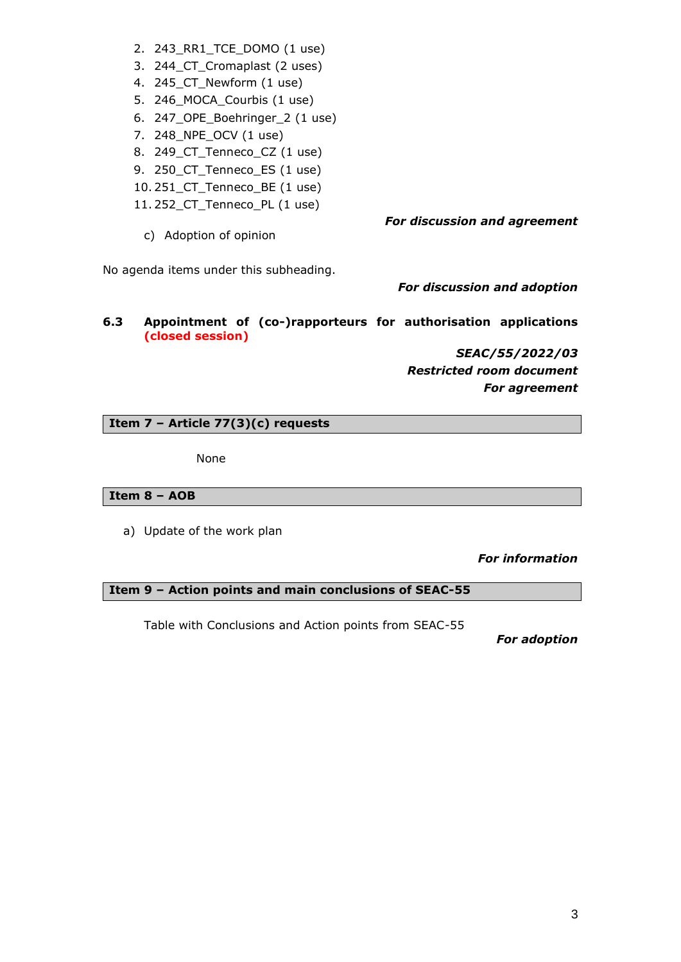- 2. 243\_RR1\_TCE\_DOMO (1 use)
- 3. 244\_CT\_Cromaplast (2 uses)
- 4. 245\_CT\_Newform (1 use)
- 5. 246\_MOCA\_Courbis (1 use)
- 6. 247\_OPE\_Boehringer\_2 (1 use)
- 7. 248\_NPE\_OCV (1 use)
- 8. 249\_CT\_Tenneco\_CZ (1 use)
- 9. 250 CT Tenneco ES (1 use)
- 10. 251\_CT\_Tenneco\_BE (1 use)
- 11. 252\_CT\_Tenneco\_PL (1 use)

c) Adoption of opinion

No agenda items under this subheading.

*For discussion and adoption*

*For discussion and agreement*

**6.3 Appointment of (co-)rapporteurs for authorisation applications (closed session)**

> *SEAC/55/2022/03 Restricted room document For agreement*

# **Item 7 – Article 77(3)(c) requests**

None

# **Item 8 – AOB**

a) Update of the work plan

*For information*

# **Item 9 – Action points and main conclusions of SEAC-55**

Table with Conclusions and Action points from SEAC-55

*For adoption*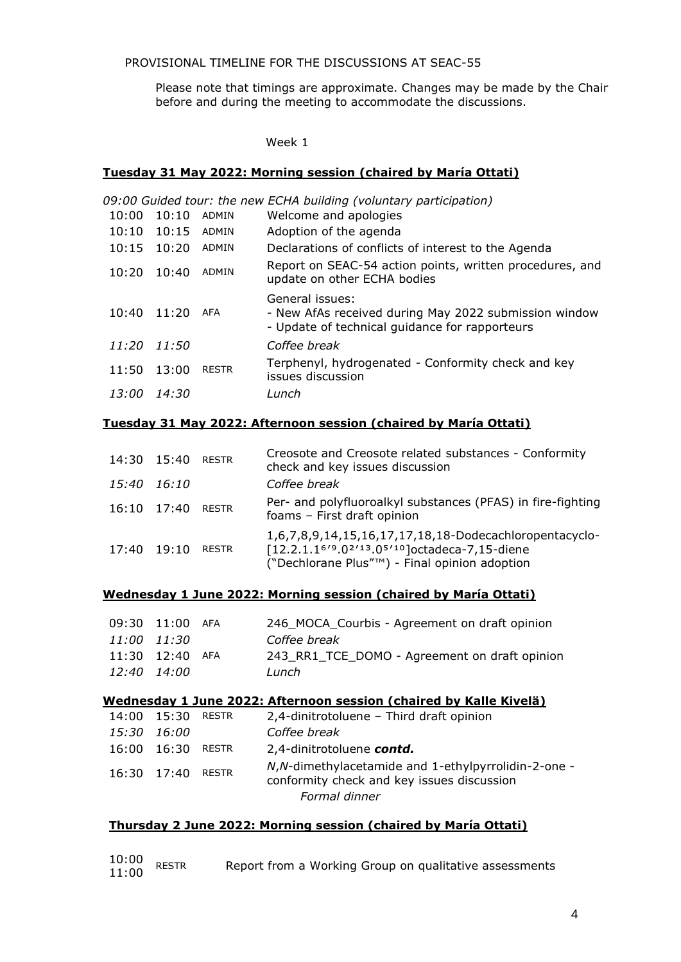PROVISIONAL TIMELINE FOR THE DISCUSSIONS AT SEAC-55

Please note that timings are approximate. Changes may be made by the Chair before and during the meeting to accommodate the discussions.

#### Week 1

## **Tuesday 31 May 2022: Morning session (chaired by María Ottati)**

|       |       |              | 09:00 Guided tour: the new ECHA building (voluntary participation)                                                         |
|-------|-------|--------------|----------------------------------------------------------------------------------------------------------------------------|
| 10:00 | 10:10 | <b>ADMIN</b> | Welcome and apologies                                                                                                      |
| 10:10 | 10:15 | ADMIN        | Adoption of the agenda                                                                                                     |
| 10:15 | 10:20 | <b>ADMIN</b> | Declarations of conflicts of interest to the Agenda                                                                        |
| 10:20 | 10:40 | <b>ADMIN</b> | Report on SEAC-54 action points, written procedures, and<br>update on other ECHA bodies                                    |
| 10:40 | 11:20 | AFA          | General issues:<br>- New AfAs received during May 2022 submission window<br>- Update of technical guidance for rapporteurs |
| 11:20 | 11:50 |              | Coffee break                                                                                                               |
| 11:50 | 13:00 | <b>RESTR</b> | Terphenyl, hydrogenated - Conformity check and key<br>issues discussion                                                    |
| 13:00 | 14:30 |              | Lunch                                                                                                                      |

## **Tuesday 31 May 2022: Afternoon session (chaired by María Ottati)**

| 14:30 15:40 | <b>RESTR</b> | Creosote and Creosote related substances - Conformity<br>check and key issues discussion                                                                              |
|-------------|--------------|-----------------------------------------------------------------------------------------------------------------------------------------------------------------------|
| 15:40 16:10 |              | Coffee break                                                                                                                                                          |
| 16:10 17:40 | <b>RESTR</b> | Per- and polyfluoroalkyl substances (PFAS) in fire-fighting<br>foams - First draft opinion                                                                            |
| 17:40 19:10 | <b>RESTR</b> | 1,6,7,8,9,14,15,16,17,17,18,18-Dodecachloropentacyclo-<br>[12.2.1.16'9.02'13.05'10] octadeca-7,15-diene<br>("Dechlorane Plus" <sup>™</sup> ) - Final opinion adoption |

# **Wednesday 1 June 2022: Morning session (chaired by María Ottati)**

|             | 09:30 11:00 AFA | 246 MOCA Courbis - Agreement on draft opinion |
|-------------|-----------------|-----------------------------------------------|
| 11:00 11:30 |                 | Coffee break                                  |
|             | 11:30 12:40 AFA | 243 RR1 TCE DOMO - Agreement on draft opinion |
| 12:40 14:00 |                 | Lunch                                         |

# **Wednesday 1 June 2022: Afternoon session (chaired by Kalle Kivelä)**

| 14:00 15:30 RESTR   | 2,4-dinitrotoluene - Third draft opinion                                                           |
|---------------------|----------------------------------------------------------------------------------------------------|
| 15:30 16:00         | Coffee break                                                                                       |
| 16:00  16:30  RESTR | 2,4-dinitrotoluene contd.                                                                          |
| 16:30 17:40 RESTR   | N, N-dimethylacetamide and 1-ethylpyrrolidin-2-one -<br>conformity check and key issues discussion |
|                     | Formal dinner                                                                                      |

## **Thursday 2 June 2022: Morning session (chaired by María Ottati)**

| $10:00$ RESTR<br>11:00 |  | Report from a Working Group on qualitative assessments |  |  |  |  |
|------------------------|--|--------------------------------------------------------|--|--|--|--|
|------------------------|--|--------------------------------------------------------|--|--|--|--|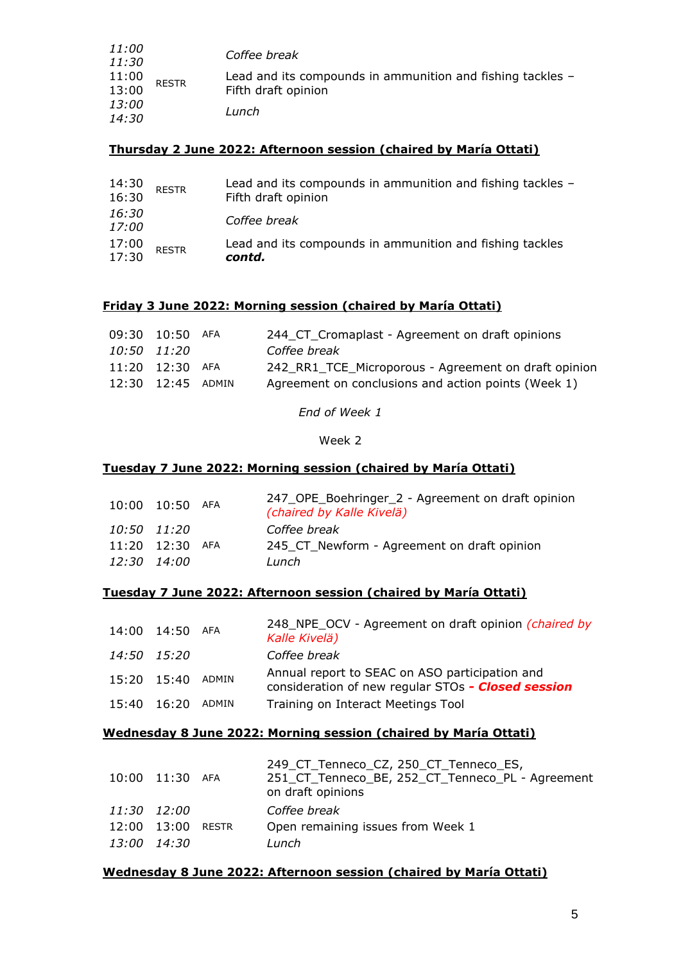| <i>11:00</i><br>11:30 | <b>RESTR</b> | Coffee break                                               |
|-----------------------|--------------|------------------------------------------------------------|
| 11:00<br>13:00        |              | Lead and its compounds in ammunition and fishing tackles - |
|                       |              | Fifth draft opinion                                        |
| <i>13:00</i>          |              | Lunch                                                      |
| 14:30                 |              |                                                            |

# **Thursday 2 June 2022: Afternoon session (chaired by María Ottati)**

| 14:30<br>16:30        | <b>RESTR</b> | Lead and its compounds in ammunition and fishing tackles -<br>Fifth draft opinion |
|-----------------------|--------------|-----------------------------------------------------------------------------------|
| 16:30<br><i>17:00</i> |              | Coffee break                                                                      |
| 17:00<br>17:30        | <b>RESTR</b> | Lead and its compounds in ammunition and fishing tackles<br>contd.                |

# **Friday 3 June 2022: Morning session (chaired by María Ottati)**

|             | 09:30 10:50 AFA   | 244_CT_Cromaplast - Agreement on draft opinions      |
|-------------|-------------------|------------------------------------------------------|
| 10:50 11:20 |                   | Coffee break                                         |
|             | 11:20 12:30 AFA   | 242_RR1_TCE_Microporous - Agreement on draft opinion |
|             | 12:30 12:45 ADMIN | Agreement on conclusions and action points (Week 1)  |

*End of Week 1*

Week 2

# **Tuesday 7 June 2022: Morning session (chaired by María Ottati)**

| 10:00 10:50 | AFA | 247_OPE_Boehringer_2 - Agreement on draft opinion<br>(chaired by Kalle Kivelä) |
|-------------|-----|--------------------------------------------------------------------------------|
| 10:50 11:20 |     | Coffee break                                                                   |
| 11:20 12:30 | AFA | 245 CT Newform - Agreement on draft opinion                                    |
| 12:30 14:00 |     | Lunch                                                                          |

# **Tuesday 7 June 2022: Afternoon session (chaired by María Ottati)**

| 14:00 14:50 | AFA   | 248 NPE OCV - Agreement on draft opinion <i>(chaired by</i><br>Kalle Kivelä)                         |
|-------------|-------|------------------------------------------------------------------------------------------------------|
| 14:50 15:20 |       | Coffee break                                                                                         |
| 15:20 15:40 | ADMIN | Annual report to SEAC on ASO participation and<br>consideration of new regular STOs - Closed session |
| 15:40 16:20 | ADMIN | Training on Interact Meetings Tool                                                                   |

# **Wednesday 8 June 2022: Morning session (chaired by María Ottati)**

|             | 10:00 11:30 AFA |       | 249 CT Tenneco CZ, 250 CT Tenneco ES,<br>251_CT_Tenneco_BE, 252_CT_Tenneco_PL - Agreement<br>on draft opinions |
|-------------|-----------------|-------|----------------------------------------------------------------------------------------------------------------|
| 11:30 12:00 |                 |       | Coffee break                                                                                                   |
| 12:00 13:00 |                 | RESTR | Open remaining issues from Week 1                                                                              |
| 13:00 14:30 |                 |       | Lunch                                                                                                          |

# **Wednesday 8 June 2022: Afternoon session (chaired by María Ottati)**